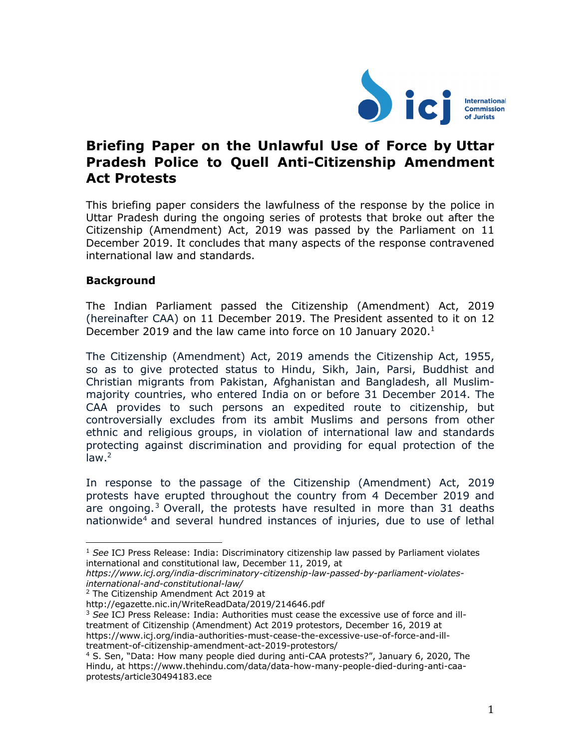

# **Briefing Paper on the Unlawful Use of Force by Uttar Pradesh Police to Quell Anti-Citizenship Amendment Act Protests**

This briefing paper considers the lawfulness of the response by the police in Uttar Pradesh during the ongoing series of protests that broke out after the Citizenship (Amendment) Act, 2019 was passed by the Parliament on 11 December 2019. It concludes that many aspects of the response contravened international law and standards.

## **Background**

The Indian Parliament passed the Citizenship (Amendment) Act, 2019 (hereinafter CAA) on 11 December 2019. The President assented to it on 12 December 2019 and the law came into force on 10 January 2020.<sup>1</sup>

The Citizenship (Amendment) Act, 2019 amends the Citizenship Act, 1955, so as to give protected status to Hindu, Sikh, Jain, Parsi, Buddhist and Christian migrants from Pakistan, Afghanistan and Bangladesh, all Muslimmajority countries, who entered India on or before 31 December 2014. The CAA provides to such persons an expedited route to citizenship, but controversially excludes from its ambit Muslims and persons from other ethnic and religious groups, in violation of international law and standards protecting against discrimination and providing for equal protection of the law. 2

In response to the passage of the Citizenship (Amendment) Act, 2019 protests have erupted throughout the country from 4 December 2019 and are ongoing.<sup>3</sup> Overall, the protests have resulted in more than  $31$  deaths nationwide4 and several hundred instances of injuries, due to use of lethal

<sup>&</sup>lt;sup>1</sup> See ICJ Press Release: India: Discriminatory citizenship law passed by Parliament violates international and constitutional law, December 11, 2019, at

*https://www.icj.org/india-discriminatory-citizenship-law-passed-by-parliament-violatesinternational-and-constitutional-law/*

<sup>2</sup> The Citizenship Amendment Act 2019 at

http://egazette.nic.in/WriteReadData/2019/214646.pdf

<sup>3</sup> *See* ICJ Press Release: India: Authorities must cease the excessive use of force and illtreatment of Citizenship (Amendment) Act 2019 protestors, December 16, 2019 at https://www.icj.org/india-authorities-must-cease-the-excessive-use-of-force-and-illtreatment-of-citizenship-amendment-act-2019-protestors/

<sup>4</sup> S. Sen, "Data: How many people died during anti-CAA protests?", January 6, 2020, The Hindu, at https://www.thehindu.com/data/data-how-many-people-died-during-anti-caaprotests/article30494183.ece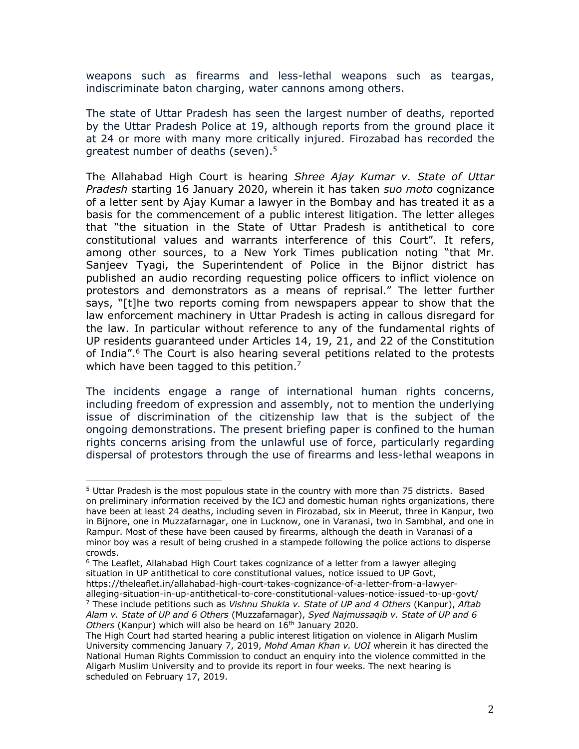weapons such as firearms and less-lethal weapons such as teargas, indiscriminate baton charging, water cannons among others.

The state of Uttar Pradesh has seen the largest number of deaths, reported by the Uttar Pradesh Police at 19, although reports from the ground place it at 24 or more with many more critically injured. Firozabad has recorded the greatest number of deaths (seven).<sup>5</sup>

The Allahabad High Court is hearing *Shree Ajay Kumar v. State of Uttar Pradesh* starting 16 January 2020, wherein it has taken *suo moto* cognizance of a letter sent by Ajay Kumar a lawyer in the Bombay and has treated it as a basis for the commencement of a public interest litigation. The letter alleges that "the situation in the State of Uttar Pradesh is antithetical to core constitutional values and warrants interference of this Court". It refers, among other sources, to a New York Times publication noting "that Mr. Sanjeev Tyagi, the Superintendent of Police in the Bijnor district has published an audio recording requesting police officers to inflict violence on protestors and demonstrators as a means of reprisal." The letter further says, "[t]he two reports coming from newspapers appear to show that the law enforcement machinery in Uttar Pradesh is acting in callous disregard for the law. In particular without reference to any of the fundamental rights of UP residents guaranteed under Articles 14, 19, 21, and 22 of the Constitution of India".6 The Court is also hearing several petitions related to the protests which have been tagged to this petition.<sup>7</sup>

The incidents engage a range of international human rights concerns, including freedom of expression and assembly, not to mention the underlying issue of discrimination of the citizenship law that is the subject of the ongoing demonstrations. The present briefing paper is confined to the human rights concerns arising from the unlawful use of force, particularly regarding dispersal of protestors through the use of firearms and less-lethal weapons in

<sup>5</sup> Uttar Pradesh is the most populous state in the country with more than 75 districts. Based on preliminary information received by the ICJ and domestic human rights organizations, there have been at least 24 deaths, including seven in Firozabad, six in Meerut, three in Kanpur, two in Bijnore, one in Muzzafarnagar, one in Lucknow, one in Varanasi, two in Sambhal, and one in Rampur. Most of these have been caused by firearms, although the death in Varanasi of a minor boy was a result of being crushed in a stampede following the police actions to disperse crowds.

 $6$  The Leaflet, Allahabad High Court takes cognizance of a letter from a lawyer alleging situation in UP antithetical to core constitutional values, notice issued to UP Govt, https://theleaflet.in/allahabad-high-court-takes-cognizance-of-a-letter-from-a-lawyer-

alleging-situation-in-up-antithetical-to-core-constitutional-values-notice-issued-to-up-govt/ <sup>7</sup> These include petitions such as *Vishnu Shukla v. State of UP and 4 Others* (Kanpur), *Aftab Alam v. State of UP and 6 Others* (Muzzafarnagar), *Syed Najmussaqib v. State of UP and 6 Others* (Kanpur) which will also be heard on 16<sup>th</sup> January 2020.

The High Court had started hearing a public interest litigation on violence in Aligarh Muslim University commencing January 7, 2019, *Mohd Aman Khan v. UOI* wherein it has directed the National Human Rights Commission to conduct an enquiry into the violence committed in the Aligarh Muslim University and to provide its report in four weeks. The next hearing is scheduled on February 17, 2019.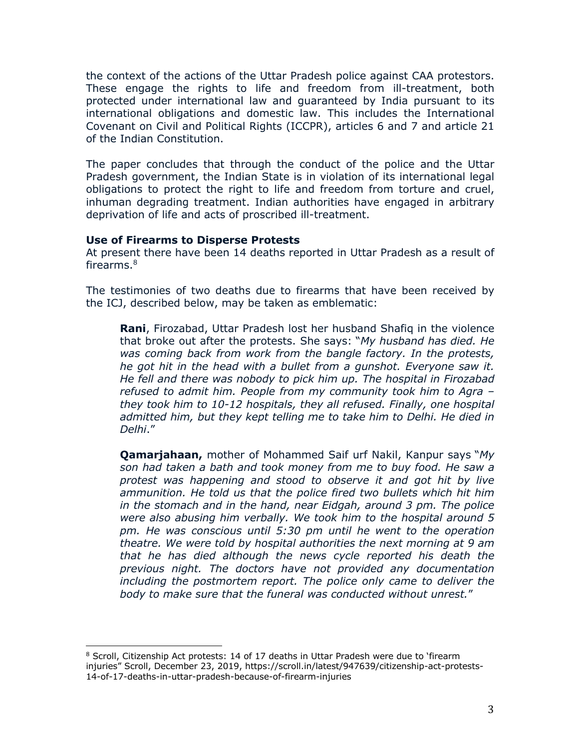the context of the actions of the Uttar Pradesh police against CAA protestors. These engage the rights to life and freedom from ill-treatment, both protected under international law and guaranteed by India pursuant to its international obligations and domestic law. This includes the International Covenant on Civil and Political Rights (ICCPR), articles 6 and 7 and article 21 of the Indian Constitution.

The paper concludes that through the conduct of the police and the Uttar Pradesh government, the Indian State is in violation of its international legal obligations to protect the right to life and freedom from torture and cruel, inhuman degrading treatment. Indian authorities have engaged in arbitrary deprivation of life and acts of proscribed ill-treatment.

#### **Use of Firearms to Disperse Protests**

At present there have been 14 deaths reported in Uttar Pradesh as a result of firearms. 8

The testimonies of two deaths due to firearms that have been received by the ICJ, described below, may be taken as emblematic:

**Rani**, Firozabad, Uttar Pradesh lost her husband Shafiq in the violence that broke out after the protests. She says: "*My husband has died. He was coming back from work from the bangle factory. In the protests, he got hit in the head with a bullet from a gunshot. Everyone saw it. He fell and there was nobody to pick him up. The hospital in Firozabad refused to admit him. People from my community took him to Agra – they took him to 10-12 hospitals, they all refused. Finally, one hospital admitted him, but they kept telling me to take him to Delhi. He died in Delhi*."

**Qamarjahaan,** mother of Mohammed Saif urf Nakil, Kanpur says "*My son had taken a bath and took money from me to buy food. He saw a protest was happening and stood to observe it and got hit by live ammunition. He told us that the police fired two bullets which hit him in the stomach and in the hand, near Eidgah, around 3 pm. The police were also abusing him verbally. We took him to the hospital around 5 pm. He was conscious until 5:30 pm until he went to the operation theatre. We were told by hospital authorities the next morning at 9 am that he has died although the news cycle reported his death the previous night. The doctors have not provided any documentation including the postmortem report. The police only came to deliver the body to make sure that the funeral was conducted without unrest.*"

<sup>&</sup>lt;sup>8</sup> Scroll, Citizenship Act protests: 14 of 17 deaths in Uttar Pradesh were due to 'firearm injuries" Scroll, December 23, 2019, https://scroll.in/latest/947639/citizenship-act-protests-14-of-17-deaths-in-uttar-pradesh-because-of-firearm-injuries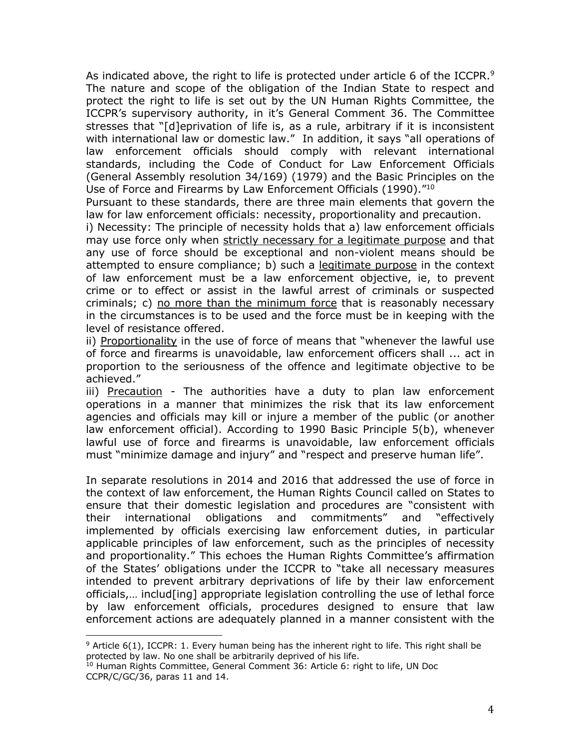As indicated above, the right to life is protected under article 6 of the ICCPR. $9$ The nature and scope of the obligation of the Indian State to respect and protect the right to life is set out by the UN Human Rights Committee, the ICCPR's supervisory authority, in it's General Comment 36. The Committee stresses that "[d]eprivation of life is, as a rule, arbitrary if it is inconsistent with international law or domestic law." In addition, it says "all operations of law enforcement officials should comply with relevant international standards, including the Code of Conduct for Law Enforcement Officials (General Assembly resolution 34/169) (1979) and the Basic Principles on the Use of Force and Firearms by Law Enforcement Officials (1990)."10

Pursuant to these standards, there are three main elements that govern the law for law enforcement officials: necessity, proportionality and precaution.

i) Necessity: The principle of necessity holds that a) law enforcement officials may use force only when strictly necessary for a legitimate purpose and that any use of force should be exceptional and non-violent means should be attempted to ensure compliance; b) such a legitimate purpose in the context of law enforcement must be a law enforcement objective, ie, to prevent crime or to effect or assist in the lawful arrest of criminals or suspected criminals; c) no more than the minimum force that is reasonably necessary in the circumstances is to be used and the force must be in keeping with the level of resistance offered.

ii) Proportionality in the use of force of means that "whenever the lawful use of force and firearms is unavoidable, law enforcement officers shall ... act in proportion to the seriousness of the offence and legitimate objective to be achieved."

iii) Precaution - The authorities have a duty to plan law enforcement operations in a manner that minimizes the risk that its law enforcement agencies and officials may kill or injure a member of the public (or another law enforcement official). According to 1990 Basic Principle 5(b), whenever lawful use of force and firearms is unavoidable, law enforcement officials must "minimize damage and injury" and "respect and preserve human life".

In separate resolutions in 2014 and 2016 that addressed the use of force in the context of law enforcement, the Human Rights Council called on States to ensure that their domestic legislation and procedures are "consistent with their international obligations and commitments" and "effectively implemented by officials exercising law enforcement duties, in particular applicable principles of law enforcement, such as the principles of necessity and proportionality." This echoes the Human Rights Committee's affirmation of the States' obligations under the ICCPR to "take all necessary measures intended to prevent arbitrary deprivations of life by their law enforcement officials,… includ[ing] appropriate legislation controlling the use of lethal force by law enforcement officials, procedures designed to ensure that law enforcement actions are adequately planned in a manner consistent with the

 $9$  Article 6(1), ICCPR: 1. Every human being has the inherent right to life. This right shall be protected by law. No one shall be arbitrarily deprived of his life.

<sup>&</sup>lt;sup>10</sup> Human Rights Committee, General Comment 36: Article 6: right to life, UN Doc CCPR/C/GC/36, paras 11 and 14.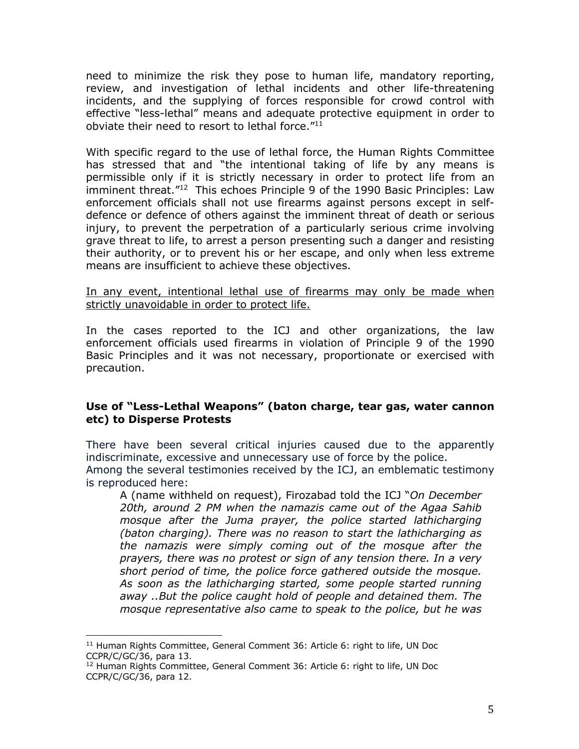need to minimize the risk they pose to human life, mandatory reporting, review, and investigation of lethal incidents and other life-threatening incidents, and the supplying of forces responsible for crowd control with effective "less-lethal" means and adequate protective equipment in order to obviate their need to resort to lethal force."11

With specific regard to the use of lethal force, the Human Rights Committee has stressed that and "the intentional taking of life by any means is permissible only if it is strictly necessary in order to protect life from an imminent threat."<sup>12</sup> This echoes Principle 9 of the 1990 Basic Principles: Law enforcement officials shall not use firearms against persons except in selfdefence or defence of others against the imminent threat of death or serious injury, to prevent the perpetration of a particularly serious crime involving grave threat to life, to arrest a person presenting such a danger and resisting their authority, or to prevent his or her escape, and only when less extreme means are insufficient to achieve these objectives.

#### In any event, intentional lethal use of firearms may only be made when strictly unavoidable in order to protect life.

In the cases reported to the ICJ and other organizations, the law enforcement officials used firearms in violation of Principle 9 of the 1990 Basic Principles and it was not necessary, proportionate or exercised with precaution.

### **Use of "Less-Lethal Weapons" (baton charge, tear gas, water cannon etc) to Disperse Protests**

There have been several critical injuries caused due to the apparently indiscriminate, excessive and unnecessary use of force by the police. Among the several testimonies received by the ICJ, an emblematic testimony is reproduced here:

A (name withheld on request), Firozabad told the ICJ "*On December 20th, around 2 PM when the namazis came out of the Agaa Sahib mosque after the Juma prayer, the police started lathicharging (baton charging). There was no reason to start the lathicharging as the namazis were simply coming out of the mosque after the prayers, there was no protest or sign of any tension there. In a very short period of time, the police force gathered outside the mosque. As soon as the lathicharging started, some people started running away ..But the police caught hold of people and detained them. The mosque representative also came to speak to the police, but he was* 

<sup>&</sup>lt;sup>11</sup> Human Rights Committee, General Comment 36: Article 6: right to life, UN Doc CCPR/C/GC/36, para 13.

 $12$  Human Rights Committee, General Comment 36: Article 6: right to life, UN Doc CCPR/C/GC/36, para 12.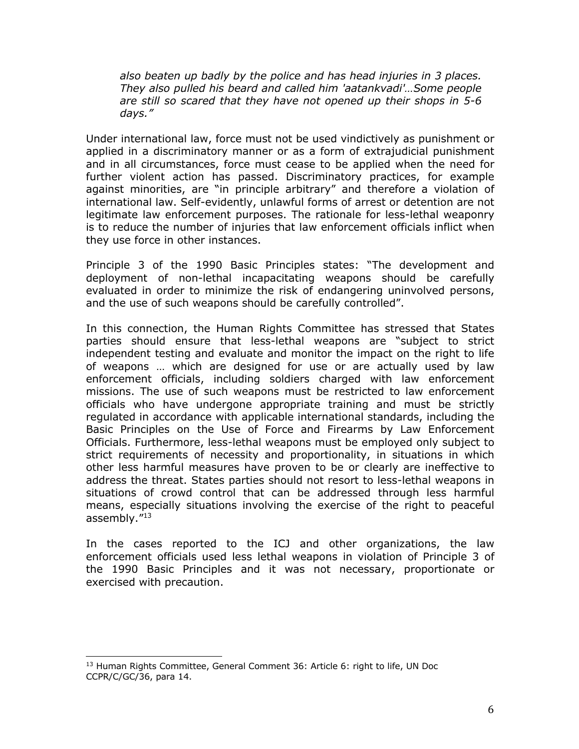*also beaten up badly by the police and has head injuries in 3 places. They also pulled his beard and called him 'aatankvadi'…Some people are still so scared that they have not opened up their shops in 5-6 days."*

Under international law, force must not be used vindictively as punishment or applied in a discriminatory manner or as a form of extrajudicial punishment and in all circumstances, force must cease to be applied when the need for further violent action has passed. Discriminatory practices, for example against minorities, are "in principle arbitrary" and therefore a violation of international law. Self-evidently, unlawful forms of arrest or detention are not legitimate law enforcement purposes. The rationale for less-lethal weaponry is to reduce the number of injuries that law enforcement officials inflict when they use force in other instances.

Principle 3 of the 1990 Basic Principles states: "The development and deployment of non-lethal incapacitating weapons should be carefully evaluated in order to minimize the risk of endangering uninvolved persons, and the use of such weapons should be carefully controlled".

In this connection, the Human Rights Committee has stressed that States parties should ensure that less-lethal weapons are "subject to strict independent testing and evaluate and monitor the impact on the right to life of weapons … which are designed for use or are actually used by law enforcement officials, including soldiers charged with law enforcement missions. The use of such weapons must be restricted to law enforcement officials who have undergone appropriate training and must be strictly regulated in accordance with applicable international standards, including the Basic Principles on the Use of Force and Firearms by Law Enforcement Officials. Furthermore, less-lethal weapons must be employed only subject to strict requirements of necessity and proportionality, in situations in which other less harmful measures have proven to be or clearly are ineffective to address the threat. States parties should not resort to less-lethal weapons in situations of crowd control that can be addressed through less harmful means, especially situations involving the exercise of the right to peaceful assembly."13

In the cases reported to the ICJ and other organizations, the law enforcement officials used less lethal weapons in violation of Principle 3 of the 1990 Basic Principles and it was not necessary, proportionate or exercised with precaution.

<sup>&</sup>lt;sup>13</sup> Human Rights Committee, General Comment 36: Article 6: right to life, UN Doc CCPR/C/GC/36, para 14.